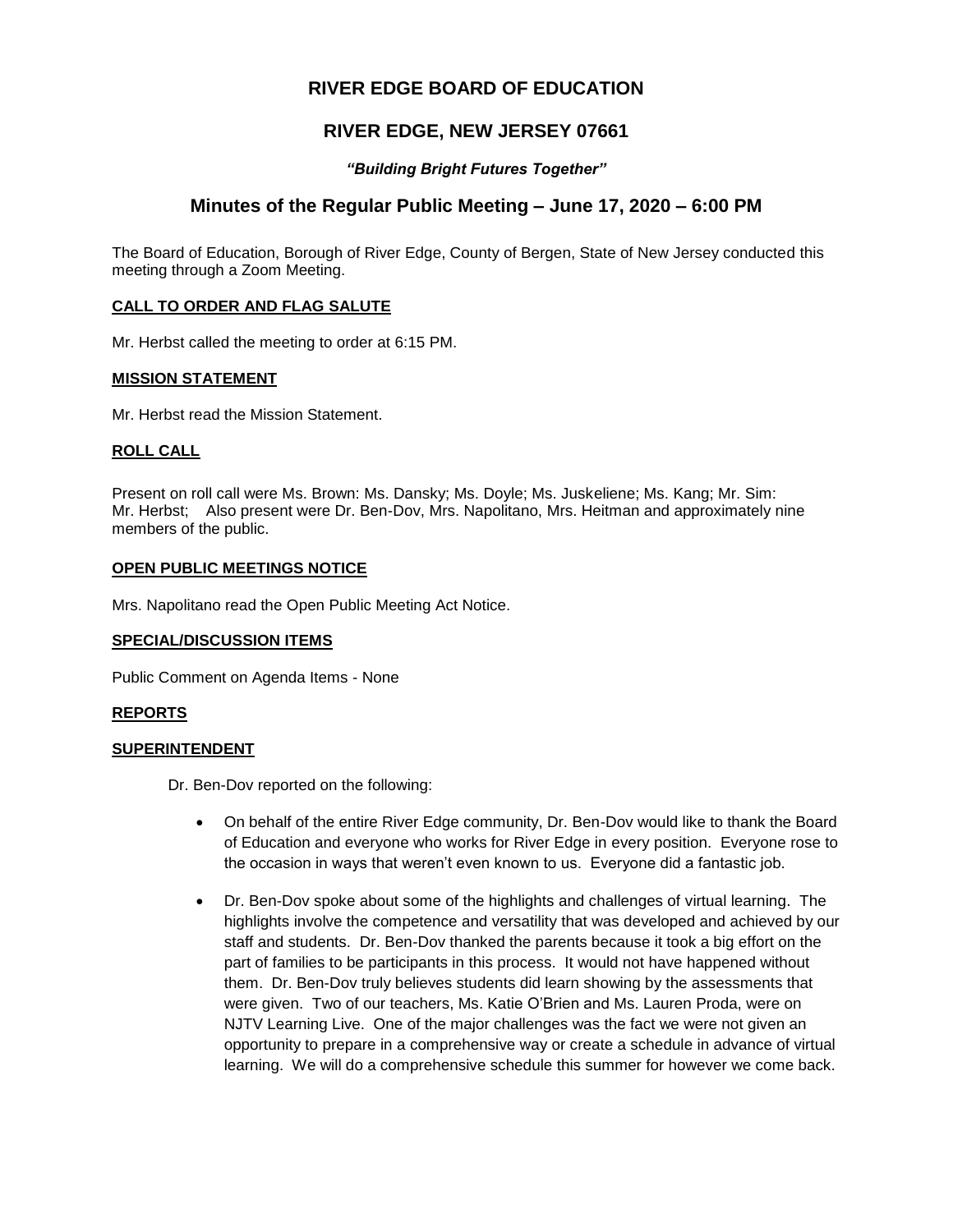# **RIVER EDGE BOARD OF EDUCATION**

## **RIVER EDGE, NEW JERSEY 07661**

### *"Building Bright Futures Together"*

## **Minutes of the Regular Public Meeting – June 17, 2020 – 6:00 PM**

The Board of Education, Borough of River Edge, County of Bergen, State of New Jersey conducted this meeting through a Zoom Meeting.

### **CALL TO ORDER AND FLAG SALUTE**

Mr. Herbst called the meeting to order at 6:15 PM.

### **MISSION STATEMENT**

Mr. Herbst read the Mission Statement.

### **ROLL CALL**

Present on roll call were Ms. Brown: Ms. Dansky; Ms. Doyle; Ms. Juskeliene; Ms. Kang; Mr. Sim: Mr. Herbst; Also present were Dr. Ben-Dov, Mrs. Napolitano, Mrs. Heitman and approximately nine members of the public.

### **OPEN PUBLIC MEETINGS NOTICE**

Mrs. Napolitano read the Open Public Meeting Act Notice.

### **SPECIAL/DISCUSSION ITEMS**

Public Comment on Agenda Items - None

### **REPORTS**

### **SUPERINTENDENT**

Dr. Ben-Dov reported on the following:

- On behalf of the entire River Edge community, Dr. Ben-Dov would like to thank the Board of Education and everyone who works for River Edge in every position. Everyone rose to the occasion in ways that weren't even known to us. Everyone did a fantastic job.
- Dr. Ben-Dov spoke about some of the highlights and challenges of virtual learning. The highlights involve the competence and versatility that was developed and achieved by our staff and students. Dr. Ben-Dov thanked the parents because it took a big effort on the part of families to be participants in this process. It would not have happened without them. Dr. Ben-Dov truly believes students did learn showing by the assessments that were given. Two of our teachers, Ms. Katie O'Brien and Ms. Lauren Proda, were on NJTV Learning Live. One of the major challenges was the fact we were not given an opportunity to prepare in a comprehensive way or create a schedule in advance of virtual learning. We will do a comprehensive schedule this summer for however we come back.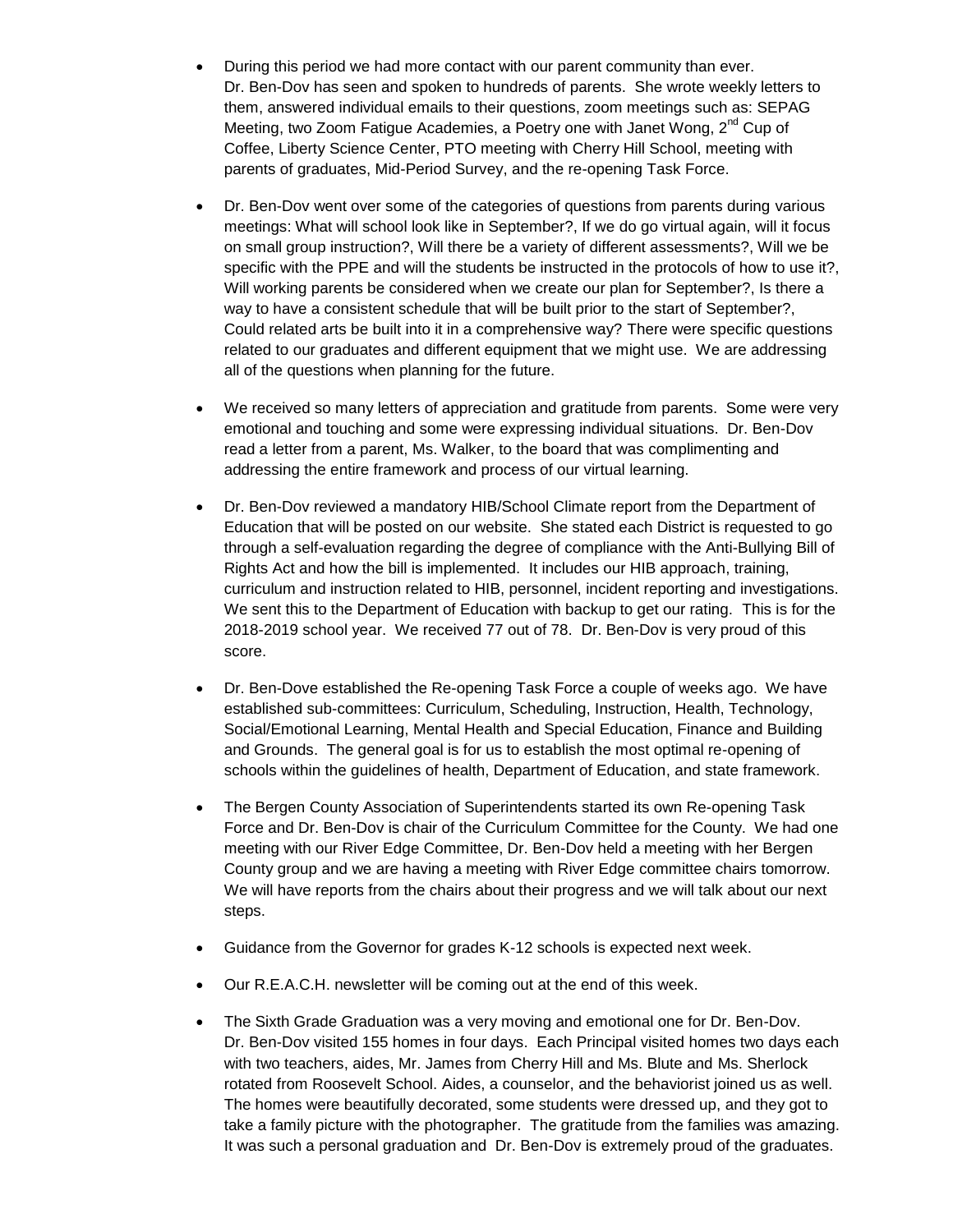- During this period we had more contact with our parent community than ever. Dr. Ben-Dov has seen and spoken to hundreds of parents. She wrote weekly letters to them, answered individual emails to their questions, zoom meetings such as: SEPAG Meeting, two Zoom Fatigue Academies, a Poetry one with Janet Wong, 2<sup>nd</sup> Cup of Coffee, Liberty Science Center, PTO meeting with Cherry Hill School, meeting with parents of graduates, Mid-Period Survey, and the re-opening Task Force.
- Dr. Ben-Dov went over some of the categories of questions from parents during various meetings: What will school look like in September?, If we do go virtual again, will it focus on small group instruction?, Will there be a variety of different assessments?, Will we be specific with the PPE and will the students be instructed in the protocols of how to use it?, Will working parents be considered when we create our plan for September?, Is there a way to have a consistent schedule that will be built prior to the start of September?, Could related arts be built into it in a comprehensive way? There were specific questions related to our graduates and different equipment that we might use. We are addressing all of the questions when planning for the future.
- We received so many letters of appreciation and gratitude from parents. Some were very emotional and touching and some were expressing individual situations. Dr. Ben-Dov read a letter from a parent, Ms. Walker, to the board that was complimenting and addressing the entire framework and process of our virtual learning.
- Dr. Ben-Dov reviewed a mandatory HIB/School Climate report from the Department of Education that will be posted on our website. She stated each District is requested to go through a self-evaluation regarding the degree of compliance with the Anti-Bullying Bill of Rights Act and how the bill is implemented. It includes our HIB approach, training, curriculum and instruction related to HIB, personnel, incident reporting and investigations. We sent this to the Department of Education with backup to get our rating. This is for the 2018-2019 school year. We received 77 out of 78. Dr. Ben-Dov is very proud of this score.
- Dr. Ben-Dove established the Re-opening Task Force a couple of weeks ago. We have established sub-committees: Curriculum, Scheduling, Instruction, Health, Technology, Social/Emotional Learning, Mental Health and Special Education, Finance and Building and Grounds. The general goal is for us to establish the most optimal re-opening of schools within the guidelines of health, Department of Education, and state framework.
- The Bergen County Association of Superintendents started its own Re-opening Task Force and Dr. Ben-Dov is chair of the Curriculum Committee for the County. We had one meeting with our River Edge Committee, Dr. Ben-Dov held a meeting with her Bergen County group and we are having a meeting with River Edge committee chairs tomorrow. We will have reports from the chairs about their progress and we will talk about our next steps.
- Guidance from the Governor for grades K-12 schools is expected next week.
- Our R.E.A.C.H. newsletter will be coming out at the end of this week.
- The Sixth Grade Graduation was a very moving and emotional one for Dr. Ben-Dov. Dr. Ben-Dov visited 155 homes in four days. Each Principal visited homes two days each with two teachers, aides, Mr. James from Cherry Hill and Ms. Blute and Ms. Sherlock rotated from Roosevelt School. Aides, a counselor, and the behaviorist joined us as well. The homes were beautifully decorated, some students were dressed up, and they got to take a family picture with the photographer. The gratitude from the families was amazing. It was such a personal graduation and Dr. Ben-Dov is extremely proud of the graduates.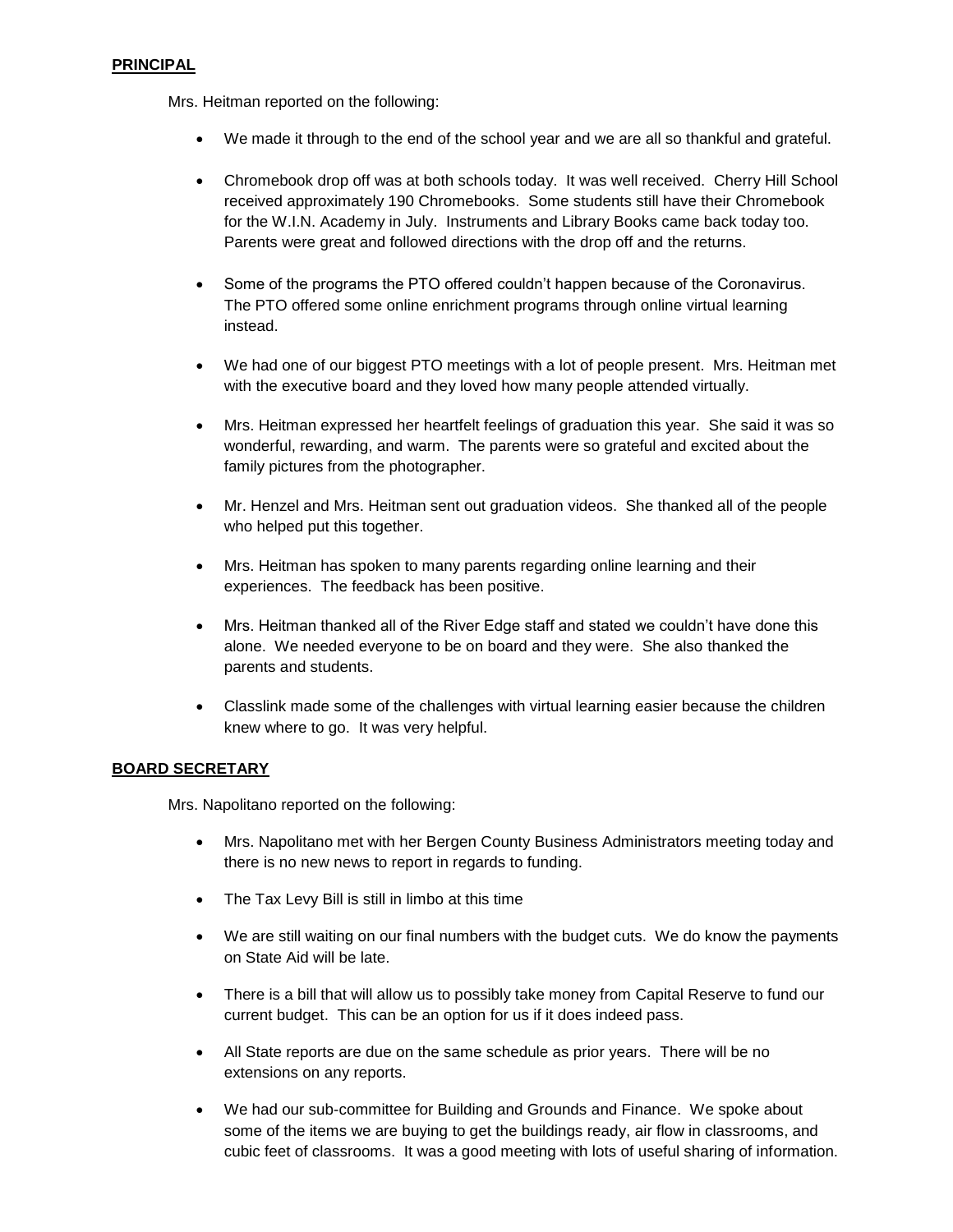### **PRINCIPAL**

Mrs. Heitman reported on the following:

- We made it through to the end of the school year and we are all so thankful and grateful.
- Chromebook drop off was at both schools today. It was well received. Cherry Hill School received approximately 190 Chromebooks. Some students still have their Chromebook for the W.I.N. Academy in July. Instruments and Library Books came back today too. Parents were great and followed directions with the drop off and the returns.
- Some of the programs the PTO offered couldn't happen because of the Coronavirus. The PTO offered some online enrichment programs through online virtual learning instead.
- We had one of our biggest PTO meetings with a lot of people present. Mrs. Heitman met with the executive board and they loved how many people attended virtually.
- Mrs. Heitman expressed her heartfelt feelings of graduation this year. She said it was so wonderful, rewarding, and warm. The parents were so grateful and excited about the family pictures from the photographer.
- Mr. Henzel and Mrs. Heitman sent out graduation videos. She thanked all of the people who helped put this together.
- Mrs. Heitman has spoken to many parents regarding online learning and their experiences. The feedback has been positive.
- Mrs. Heitman thanked all of the River Edge staff and stated we couldn't have done this alone. We needed everyone to be on board and they were. She also thanked the parents and students.
- Classlink made some of the challenges with virtual learning easier because the children knew where to go. It was very helpful.

### **BOARD SECRETARY**

Mrs. Napolitano reported on the following:

- Mrs. Napolitano met with her Bergen County Business Administrators meeting today and there is no new news to report in regards to funding.
- The Tax Levy Bill is still in limbo at this time
- We are still waiting on our final numbers with the budget cuts. We do know the payments on State Aid will be late.
- There is a bill that will allow us to possibly take money from Capital Reserve to fund our current budget. This can be an option for us if it does indeed pass.
- All State reports are due on the same schedule as prior years. There will be no extensions on any reports.
- We had our sub-committee for Building and Grounds and Finance. We spoke about some of the items we are buying to get the buildings ready, air flow in classrooms, and cubic feet of classrooms. It was a good meeting with lots of useful sharing of information.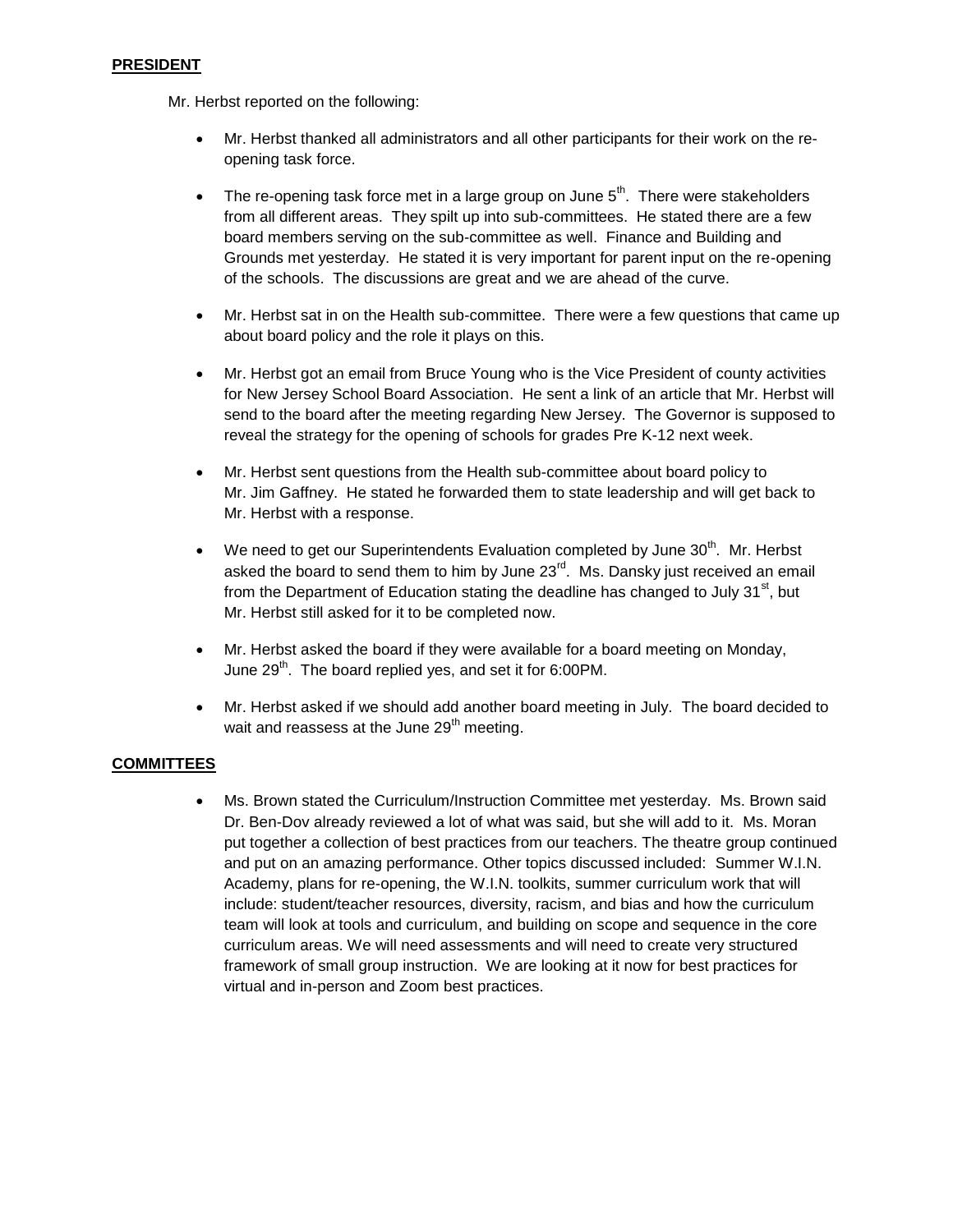### **PRESIDENT**

Mr. Herbst reported on the following:

- Mr. Herbst thanked all administrators and all other participants for their work on the reopening task force.
- The re-opening task force met in a large group on June  $5<sup>th</sup>$ . There were stakeholders from all different areas. They spilt up into sub-committees. He stated there are a few board members serving on the sub-committee as well. Finance and Building and Grounds met yesterday. He stated it is very important for parent input on the re-opening of the schools. The discussions are great and we are ahead of the curve.
- Mr. Herbst sat in on the Health sub-committee. There were a few questions that came up about board policy and the role it plays on this.
- Mr. Herbst got an email from Bruce Young who is the Vice President of county activities for New Jersey School Board Association. He sent a link of an article that Mr. Herbst will send to the board after the meeting regarding New Jersey. The Governor is supposed to reveal the strategy for the opening of schools for grades Pre K-12 next week.
- Mr. Herbst sent questions from the Health sub-committee about board policy to Mr. Jim Gaffney. He stated he forwarded them to state leadership and will get back to Mr. Herbst with a response.
- $\bullet$  We need to get our Superintendents Evaluation completed by June 30<sup>th</sup>. Mr. Herbst asked the board to send them to him by June  $23^{\text{rd}}$ . Ms. Dansky just received an email from the Department of Education stating the deadline has changed to July 31 $\mathrm{^{st}}$ , but Mr. Herbst still asked for it to be completed now.
- Mr. Herbst asked the board if they were available for a board meeting on Monday, June 29<sup>th</sup>. The board replied yes, and set it for 6:00PM.
- Mr. Herbst asked if we should add another board meeting in July. The board decided to wait and reassess at the June 29<sup>th</sup> meeting.

### **COMMITTEES**

 Ms. Brown stated the Curriculum/Instruction Committee met yesterday. Ms. Brown said Dr. Ben-Dov already reviewed a lot of what was said, but she will add to it. Ms. Moran put together a collection of best practices from our teachers. The theatre group continued and put on an amazing performance. Other topics discussed included: Summer W.I.N. Academy, plans for re-opening, the W.I.N. toolkits, summer curriculum work that will include: student/teacher resources, diversity, racism, and bias and how the curriculum team will look at tools and curriculum, and building on scope and sequence in the core curriculum areas. We will need assessments and will need to create very structured framework of small group instruction. We are looking at it now for best practices for virtual and in-person and Zoom best practices.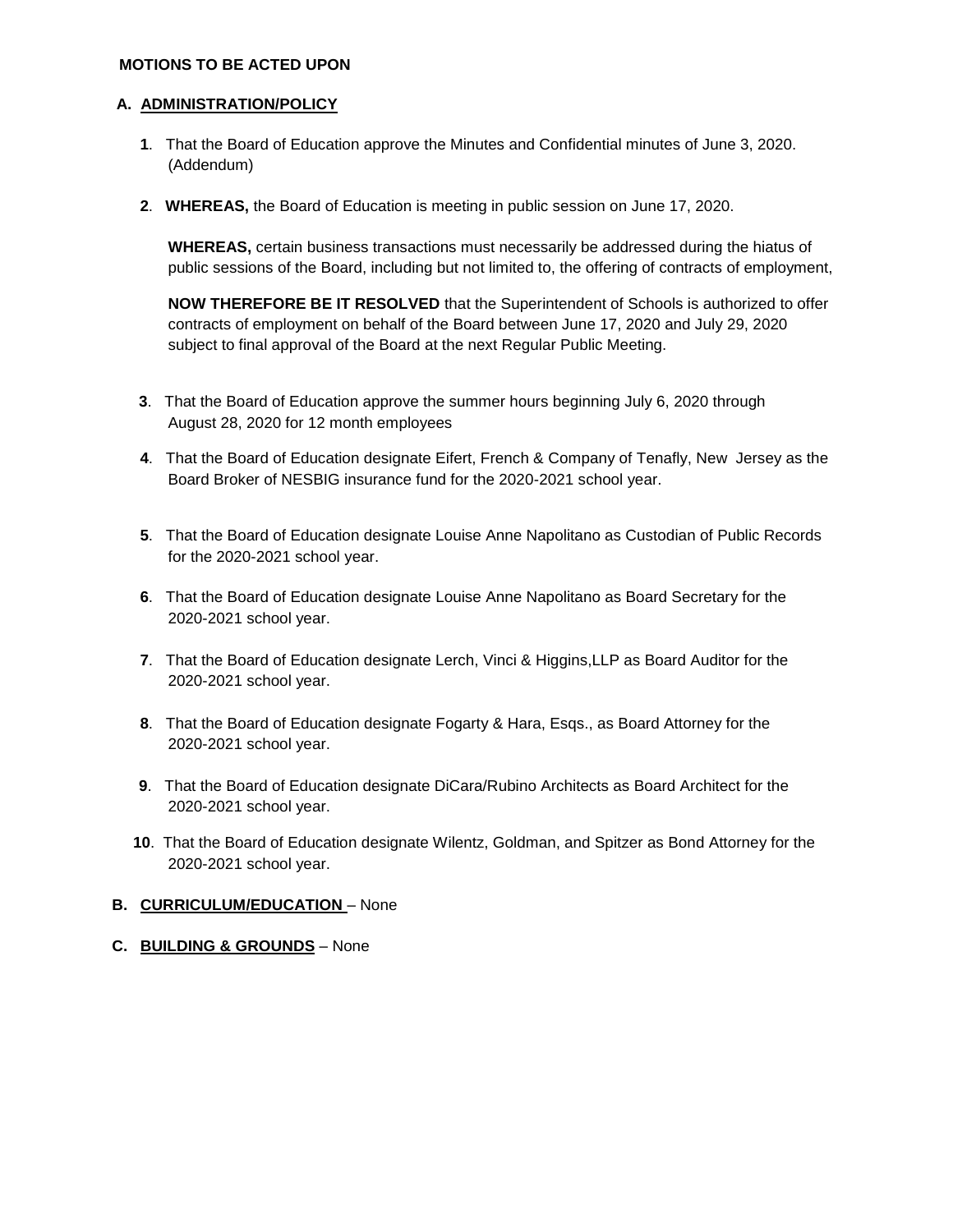### **MOTIONS TO BE ACTED UPON**

### **A. ADMINISTRATION/POLICY**

- **1**. That the Board of Education approve the Minutes and Confidential minutes of June 3, 2020. (Addendum)
- **2**. **WHEREAS,** the Board of Education is meeting in public session on June 17, 2020.

**WHEREAS,** certain business transactions must necessarily be addressed during the hiatus of public sessions of the Board, including but not limited to, the offering of contracts of employment,

**NOW THEREFORE BE IT RESOLVED** that the Superintendent of Schools is authorized to offer contracts of employment on behalf of the Board between June 17, 2020 and July 29, 2020 subject to final approval of the Board at the next Regular Public Meeting.

- **3**. That the Board of Education approve the summer hours beginning July 6, 2020 through August 28, 2020 for 12 month employees
- **4**. That the Board of Education designate Eifert, French & Company of Tenafly, New Jersey as the Board Broker of NESBIG insurance fund for the 2020-2021 school year.
- **5**. That the Board of Education designate Louise Anne Napolitano as Custodian of Public Records for the 2020-2021 school year.
- **6**. That the Board of Education designate Louise Anne Napolitano as Board Secretary for the 2020-2021 school year.
- **7**. That the Board of Education designate Lerch, Vinci & Higgins,LLP as Board Auditor for the 2020-2021 school year.
- **8**. That the Board of Education designate Fogarty & Hara, Esqs., as Board Attorney for the 2020-2021 school year.
- **9**. That the Board of Education designate DiCara/Rubino Architects as Board Architect for the 2020-2021 school year.
- **10**. That the Board of Education designate Wilentz, Goldman, and Spitzer as Bond Attorney for the 2020-2021 school year.

### **B. CURRICULUM/EDUCATION - None**

**C. BUILDING & GROUNDS** – None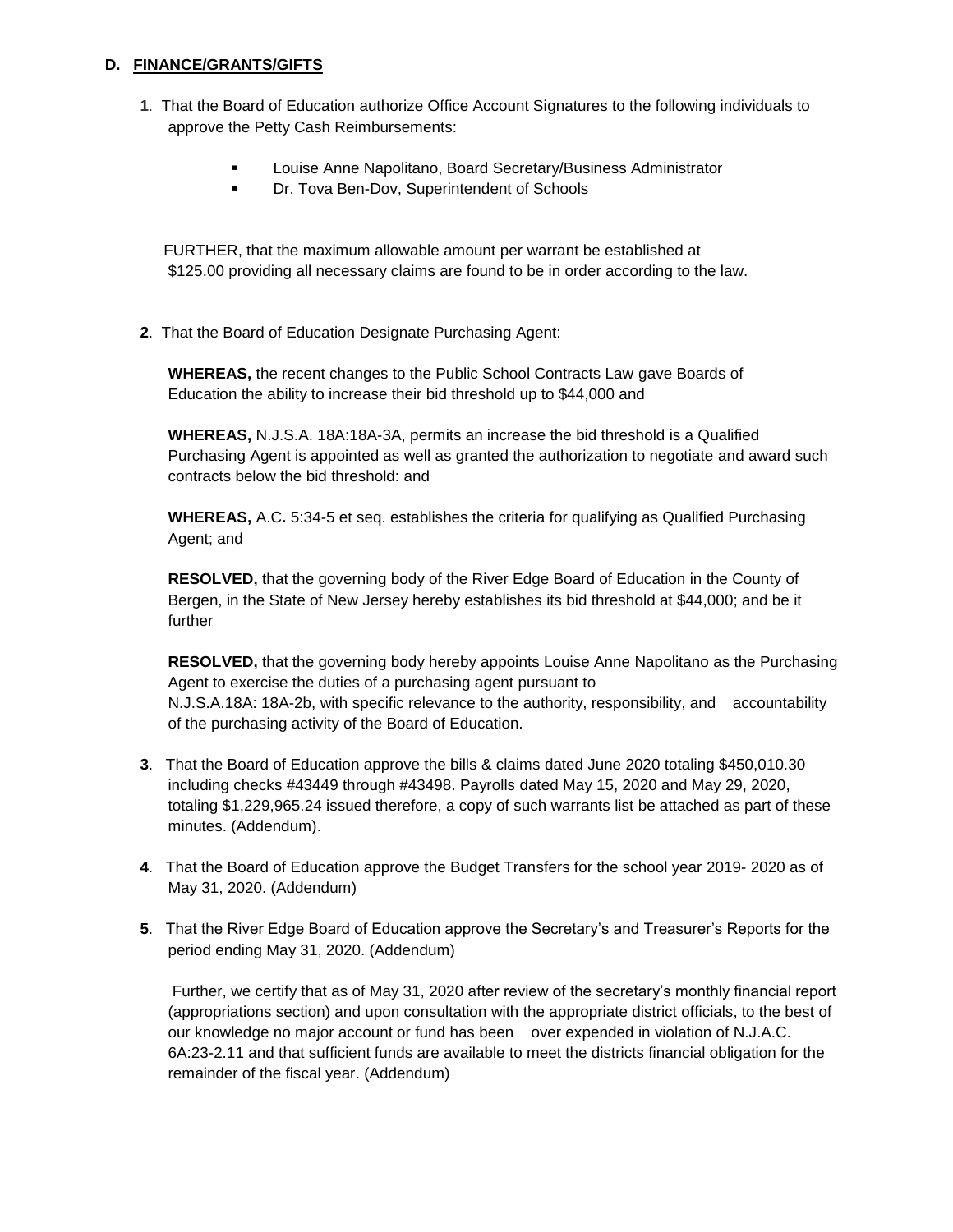### **D. FINANCE/GRANTS/GIFTS**

- **1**. That the Board of Education authorize Office Account Signatures to the following individuals to approve the Petty Cash Reimbursements:
	- **Louise Anne Napolitano, Board Secretary/Business Administrator**
	- **Dr. Tova Ben-Dov, Superintendent of Schools**

 FURTHER, that the maximum allowable amount per warrant be established at \$125.00 providing all necessary claims are found to be in order according to the law.

**2**. That the Board of Education Designate Purchasing Agent:

**WHEREAS,** the recent changes to the Public School Contracts Law gave Boards of Education the ability to increase their bid threshold up to \$44,000 and

**WHEREAS,** N.J.S.A. 18A:18A-3A, permits an increase the bid threshold is a Qualified Purchasing Agent is appointed as well as granted the authorization to negotiate and award such contracts below the bid threshold: and

**WHEREAS,** A.C**.** 5:34-5 et seq. establishes the criteria for qualifying as Qualified Purchasing Agent; and

**RESOLVED,** that the governing body of the River Edge Board of Education in the County of Bergen, in the State of New Jersey hereby establishes its bid threshold at \$44,000; and be it further

**RESOLVED,** that the governing body hereby appoints Louise Anne Napolitano as the Purchasing Agent to exercise the duties of a purchasing agent pursuant to N.J.S.A.18A: 18A-2b, with specific relevance to the authority, responsibility, and accountability of the purchasing activity of the Board of Education.

- **3**. That the Board of Education approve the bills & claims dated June 2020 totaling \$450,010.30 including checks #43449 through #43498. Payrolls dated May 15, 2020 and May 29, 2020, totaling \$1,229,965.24 issued therefore, a copy of such warrants list be attached as part of these minutes. (Addendum).
- **4**. That the Board of Education approve the Budget Transfers for the school year 2019- 2020 as of May 31, 2020. (Addendum)
- **5**. That the River Edge Board of Education approve the Secretary's and Treasurer's Reports for the period ending May 31, 2020. (Addendum)

Further, we certify that as of May 31, 2020 after review of the secretary's monthly financial report (appropriations section) and upon consultation with the appropriate district officials, to the best of our knowledge no major account or fund has been over expended in violation of N.J.A.C. 6A:23-2.11 and that sufficient funds are available to meet the districts financial obligation for the remainder of the fiscal year. (Addendum)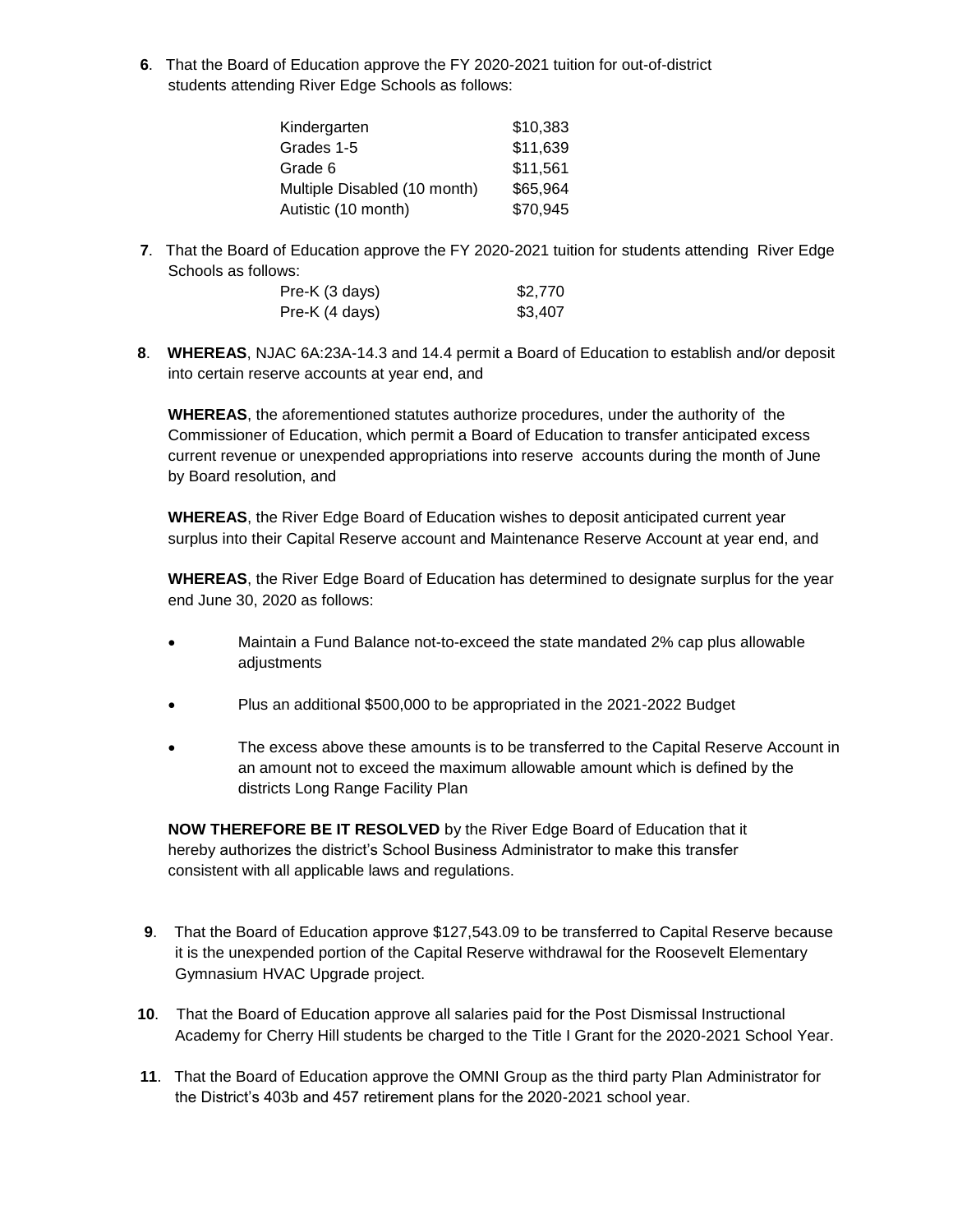**6**. That the Board of Education approve the FY 2020-2021 tuition for out-of-district students attending River Edge Schools as follows:

| Kindergarten                 | \$10,383 |
|------------------------------|----------|
| Grades 1-5                   | \$11,639 |
| Grade 6                      | \$11,561 |
| Multiple Disabled (10 month) | \$65,964 |
| Autistic (10 month)          | \$70,945 |

**7**. That the Board of Education approve the FY 2020-2021 tuition for students attending River Edge Schools as follows:

| Pre-K (3 days) | \$2,770 |
|----------------|---------|
| Pre-K (4 days) | \$3,407 |

**8**. **WHEREAS**, NJAC 6A:23A-14.3 and 14.4 permit a Board of Education to establish and/or deposit into certain reserve accounts at year end, and

**WHEREAS**, the aforementioned statutes authorize procedures, under the authority of the Commissioner of Education, which permit a Board of Education to transfer anticipated excess current revenue or unexpended appropriations into reserve accounts during the month of June by Board resolution, and

**WHEREAS**, the River Edge Board of Education wishes to deposit anticipated current year surplus into their Capital Reserve account and Maintenance Reserve Account at year end, and

**WHEREAS**, the River Edge Board of Education has determined to designate surplus for the year end June 30, 2020 as follows:

- Maintain a Fund Balance not-to-exceed the state mandated 2% cap plus allowable adjustments
- Plus an additional \$500,000 to be appropriated in the 2021-2022 Budget
- The excess above these amounts is to be transferred to the Capital Reserve Account in an amount not to exceed the maximum allowable amount which is defined by the districts Long Range Facility Plan

**NOW THEREFORE BE IT RESOLVED** by the River Edge Board of Education that it hereby authorizes the district's School Business Administrator to make this transfer consistent with all applicable laws and regulations.

- **9**. That the Board of Education approve \$127,543.09 to be transferred to Capital Reserve because it is the unexpended portion of the Capital Reserve withdrawal for the Roosevelt Elementary Gymnasium HVAC Upgrade project.
- **10**.That the Board of Education approve all salaries paid for the Post Dismissal Instructional Academy for Cherry Hill students be charged to the Title I Grant for the 2020-2021 School Year.
- **11**. That the Board of Education approve the OMNI Group as the third party Plan Administrator for the District's 403b and 457 retirement plans for the 2020-2021 school year.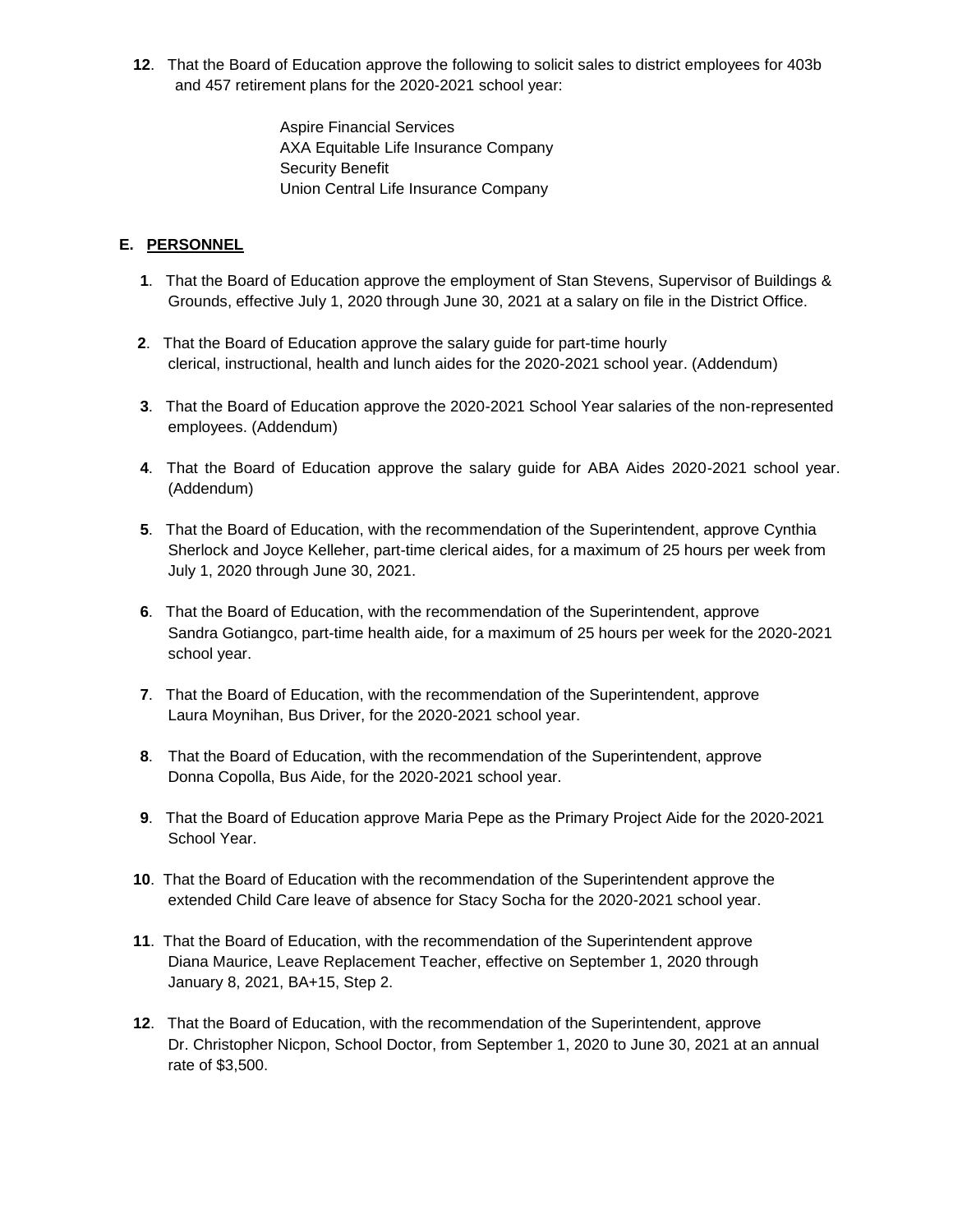**12**. That the Board of Education approve the following to solicit sales to district employees for 403b and 457 retirement plans for the 2020-2021 school year:

> Aspire Financial Services AXA Equitable Life Insurance Company Security Benefit Union Central Life Insurance Company

## **E. PERSONNEL**

- **1**. That the Board of Education approve the employment of Stan Stevens, Supervisor of Buildings & Grounds, effective July 1, 2020 through June 30, 2021 at a salary on file in the District Office.
- **2**. That the Board of Education approve the salary guide for part-time hourly clerical, instructional, health and lunch aides for the 2020-2021 school year. (Addendum)
- **3**. That the Board of Education approve the 2020-2021 School Year salaries of the non-represented employees. (Addendum)
- **4**. That the Board of Education approve the salary guide for ABA Aides 2020-2021 school year. (Addendum)
- **5**. That the Board of Education, with the recommendation of the Superintendent, approve Cynthia Sherlock and Joyce Kelleher, part-time clerical aides, for a maximum of 25 hours per week from July 1, 2020 through June 30, 2021.
- **6**. That the Board of Education, with the recommendation of the Superintendent, approve Sandra Gotiangco, part-time health aide, for a maximum of 25 hours per week for the 2020-2021 school year.
- **7**. That the Board of Education, with the recommendation of the Superintendent, approve Laura Moynihan, Bus Driver, for the 2020-2021 school year.
- **8**. That the Board of Education, with the recommendation of the Superintendent, approve Donna Copolla, Bus Aide, for the 2020-2021 school year.
- **9**. That the Board of Education approve Maria Pepe as the Primary Project Aide for the 2020-2021 School Year.
- **10**. That the Board of Education with the recommendation of the Superintendent approve the extended Child Care leave of absence for Stacy Socha for the 2020-2021 school year.
- **11**. That the Board of Education, with the recommendation of the Superintendent approve Diana Maurice, Leave Replacement Teacher, effective on September 1, 2020 through January 8, 2021, BA+15, Step 2.
- **12**. That the Board of Education, with the recommendation of the Superintendent, approve Dr. Christopher Nicpon, School Doctor, from September 1, 2020 to June 30, 2021 at an annual rate of \$3,500.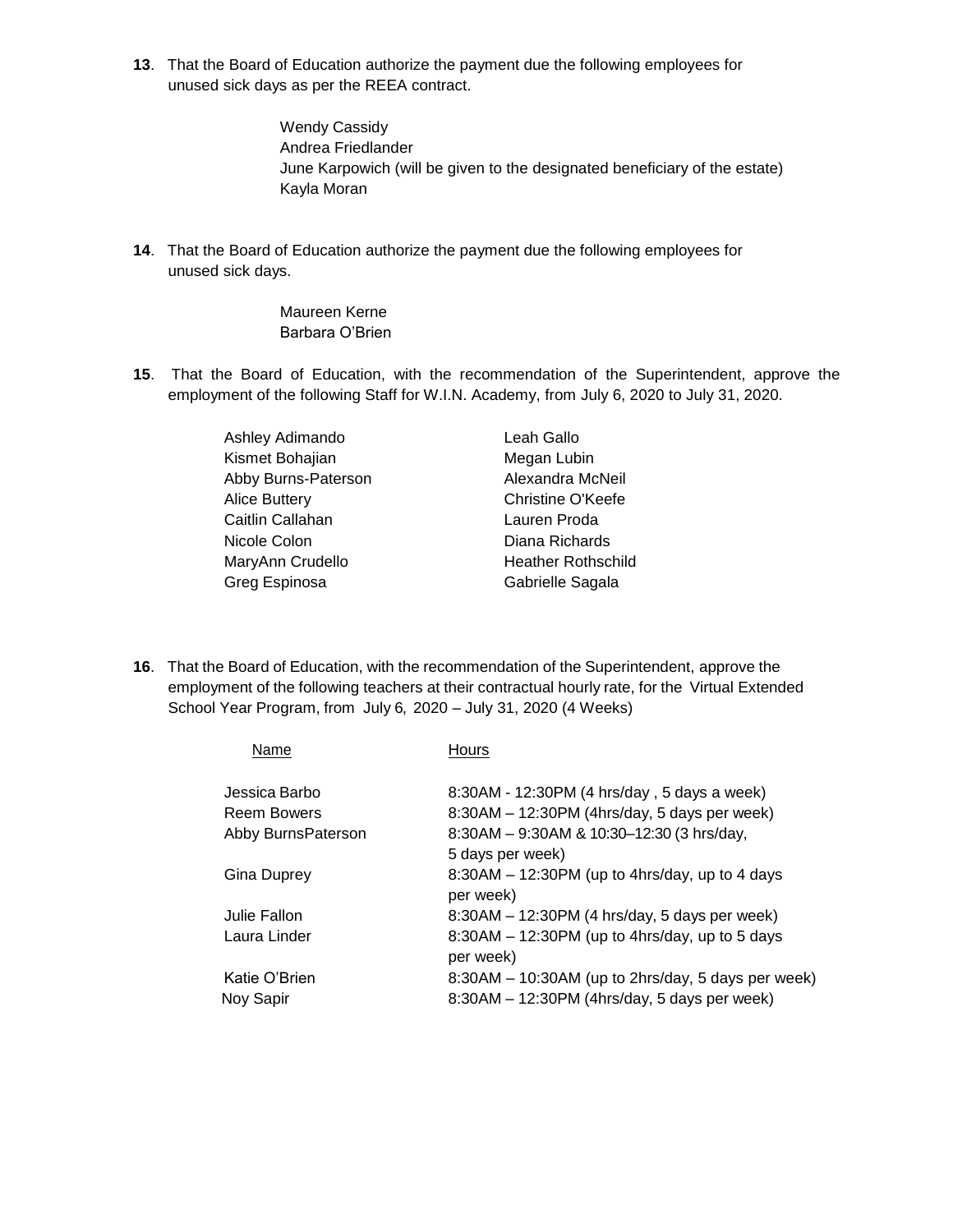**13**. That the Board of Education authorize the payment due the following employees for unused sick days as per the REEA contract.

> Wendy Cassidy Andrea Friedlander June Karpowich (will be given to the designated beneficiary of the estate) Kayla Moran

**14**. That the Board of Education authorize the payment due the following employees for unused sick days.

## Maureen Kerne Barbara O'Brien

**15**. That the Board of Education, with the recommendation of the Superintendent, approve the employment of the following Staff for W.I.N. Academy, from July 6, 2020 to July 31, 2020.

| Ashley Adimando      | Leah Gallo                |  |
|----------------------|---------------------------|--|
| Kismet Bohajian      | Megan Lubin               |  |
| Abby Burns-Paterson  | Alexandra McNeil          |  |
| <b>Alice Buttery</b> | Christine O'Keefe         |  |
| Caitlin Callahan     | Lauren Proda              |  |
| Nicole Colon         | Diana Richards            |  |
| MaryAnn Crudello     | <b>Heather Rothschild</b> |  |
| Greg Espinosa        | Gabrielle Sagala          |  |

**16**. That the Board of Education, with the recommendation of the Superintendent, approve the employment of the following teachers at their contractual hourly rate, for the Virtual Extended School Year Program, from July 6, 2020 – July 31, 2020 (4 Weeks)

| Name               | Hours                                              |
|--------------------|----------------------------------------------------|
| Jessica Barbo      | 8:30AM - 12:30PM (4 hrs/day, 5 days a week)        |
| <b>Reem Bowers</b> | 8:30AM - 12:30PM (4hrs/day, 5 days per week)       |
| Abby BurnsPaterson | 8:30AM - 9:30AM & 10:30-12:30 (3 hrs/day,          |
|                    | 5 days per week)                                   |
| Gina Duprey        | $8:30AM - 12:30PM$ (up to 4hrs/day, up to 4 days   |
|                    | per week)                                          |
| Julie Fallon       | 8:30AM - 12:30PM (4 hrs/day, 5 days per week)      |
| Laura Linder       | $8:30AM - 12:30PM$ (up to 4hrs/day, up to 5 days   |
|                    | per week)                                          |
| Katie O'Brien      | 8:30AM - 10:30AM (up to 2hrs/day, 5 days per week) |
| Noy Sapir          | 8:30AM - 12:30PM (4hrs/day, 5 days per week)       |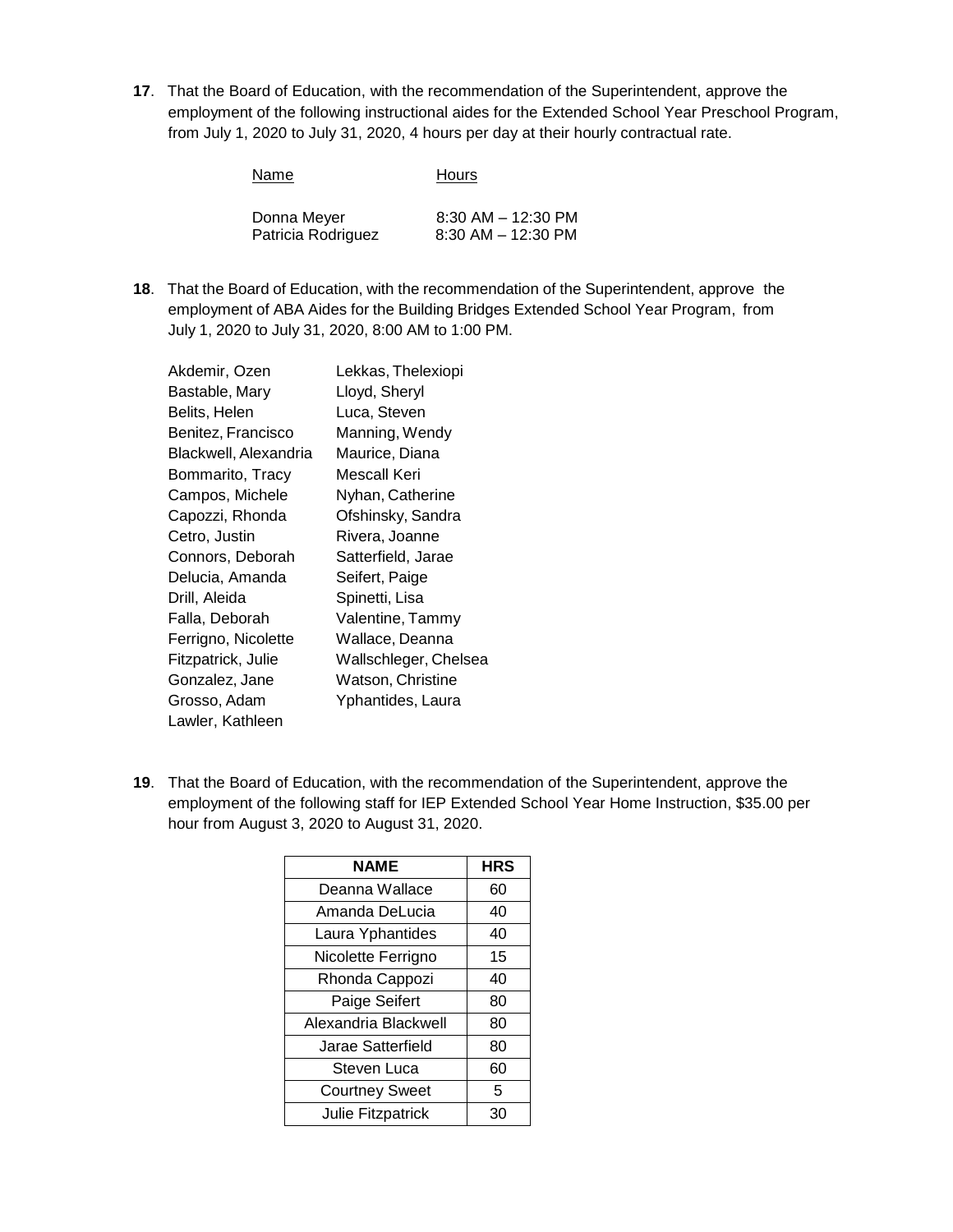**17**. That the Board of Education, with the recommendation of the Superintendent, approve the employment of the following instructional aides for the Extended School Year Preschool Program, from July 1, 2020 to July 31, 2020, 4 hours per day at their hourly contractual rate.

| Name               | <b>Hours</b>           |
|--------------------|------------------------|
| Donna Meyer        | $8:30$ AM $-$ 12:30 PM |
| Patricia Rodriguez | $8:30$ AM $-$ 12:30 PM |

**18**. That the Board of Education, with the recommendation of the Superintendent, approve the employment of ABA Aides for the Building Bridges Extended School Year Program, from July 1, 2020 to July 31, 2020, 8:00 AM to 1:00 PM.

| Akdemir, Ozen         | Lekkas, Thelexiopi    |
|-----------------------|-----------------------|
| Bastable, Mary        | Lloyd, Sheryl         |
| Belits, Helen         | Luca, Steven          |
| Benitez, Francisco    | Manning, Wendy        |
| Blackwell, Alexandria | Maurice, Diana        |
| Bommarito, Tracy      | Mescall Keri          |
| Campos, Michele       | Nyhan, Catherine      |
| Capozzi, Rhonda       | Ofshinsky, Sandra     |
| Cetro, Justin         | Rivera, Joanne        |
| Connors, Deborah      | Satterfield, Jarae    |
| Delucia, Amanda       | Seifert, Paige        |
| Drill, Aleida         | Spinetti, Lisa        |
| Falla, Deborah        | Valentine, Tammy      |
| Ferrigno, Nicolette   | Wallace, Deanna       |
| Fitzpatrick, Julie    | Wallschleger, Chelsea |
| Gonzalez, Jane        | Watson, Christine     |
| Grosso, Adam          | Yphantides, Laura     |
| Lawler, Kathleen      |                       |

**19**. That the Board of Education, with the recommendation of the Superintendent, approve the employment of the following staff for IEP Extended School Year Home Instruction, \$35.00 per hour from August 3, 2020 to August 31, 2020.

| <b>NAME</b>              | <b>HRS</b> |
|--------------------------|------------|
| Deanna Wallace           | 60         |
| Amanda DeLucia           | 40         |
| Laura Yphantides         | 40         |
| Nicolette Ferrigno       | 15         |
| Rhonda Cappozi           | 40         |
| Paige Seifert            | 80         |
| Alexandria Blackwell     | 80         |
| Jarae Satterfield        | 80         |
| Steven Luca              | 60         |
| <b>Courtney Sweet</b>    | 5          |
| <b>Julie Fitzpatrick</b> | 30         |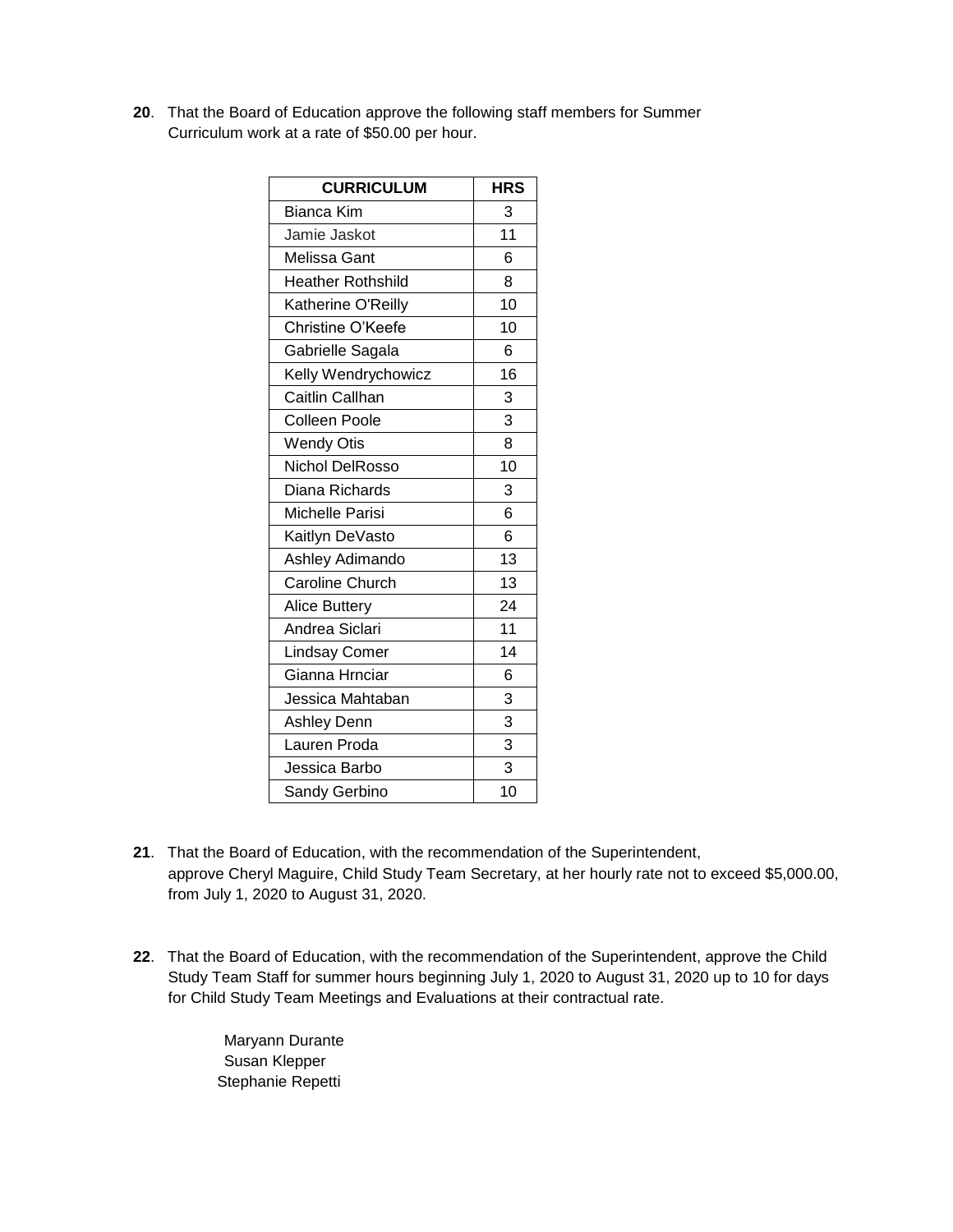**20**. That the Board of Education approve the following staff members for Summer Curriculum work at a rate of \$50.00 per hour.

| <b>CURRICULUM</b>        | <b>HRS</b> |
|--------------------------|------------|
| <b>Bianca Kim</b>        | 3          |
| Jamie Jaskot             | 11         |
| Melissa Gant             | 6          |
| <b>Heather Rothshild</b> | 8          |
| Katherine O'Reilly       | 10         |
| Christine O'Keefe        | 10         |
| Gabrielle Sagala         | 6          |
| Kelly Wendrychowicz      | 16         |
| Caitlin Callhan          | 3          |
| <b>Colleen Poole</b>     | 3          |
| <b>Wendy Otis</b>        | 8          |
| Nichol DelRosso          | 10         |
| Diana Richards           | 3          |
| Michelle Parisi          | 6          |
| Kaitlyn DeVasto          | 6          |
| Ashley Adimando          | 13         |
| <b>Caroline Church</b>   | 13         |
| <b>Alice Buttery</b>     | 24         |
| Andrea Siclari           | 11         |
| <b>Lindsay Comer</b>     | 14         |
| Gianna Hrnciar           | 6          |
| Jessica Mahtaban         | 3          |
| <b>Ashley Denn</b>       | 3          |
| Lauren Proda             | 3          |
| Jessica Barbo            | 3          |
| Sandy Gerbino            | 10         |

- **21**. That the Board of Education, with the recommendation of the Superintendent, approve Cheryl Maguire, Child Study Team Secretary, at her hourly rate not to exceed \$5,000.00, from July 1, 2020 to August 31, 2020.
- **22**. That the Board of Education, with the recommendation of the Superintendent, approve the Child Study Team Staff for summer hours beginning July 1, 2020 to August 31, 2020 up to 10 for days for Child Study Team Meetings and Evaluations at their contractual rate.

Maryann Durante Susan Klepper Stephanie Repetti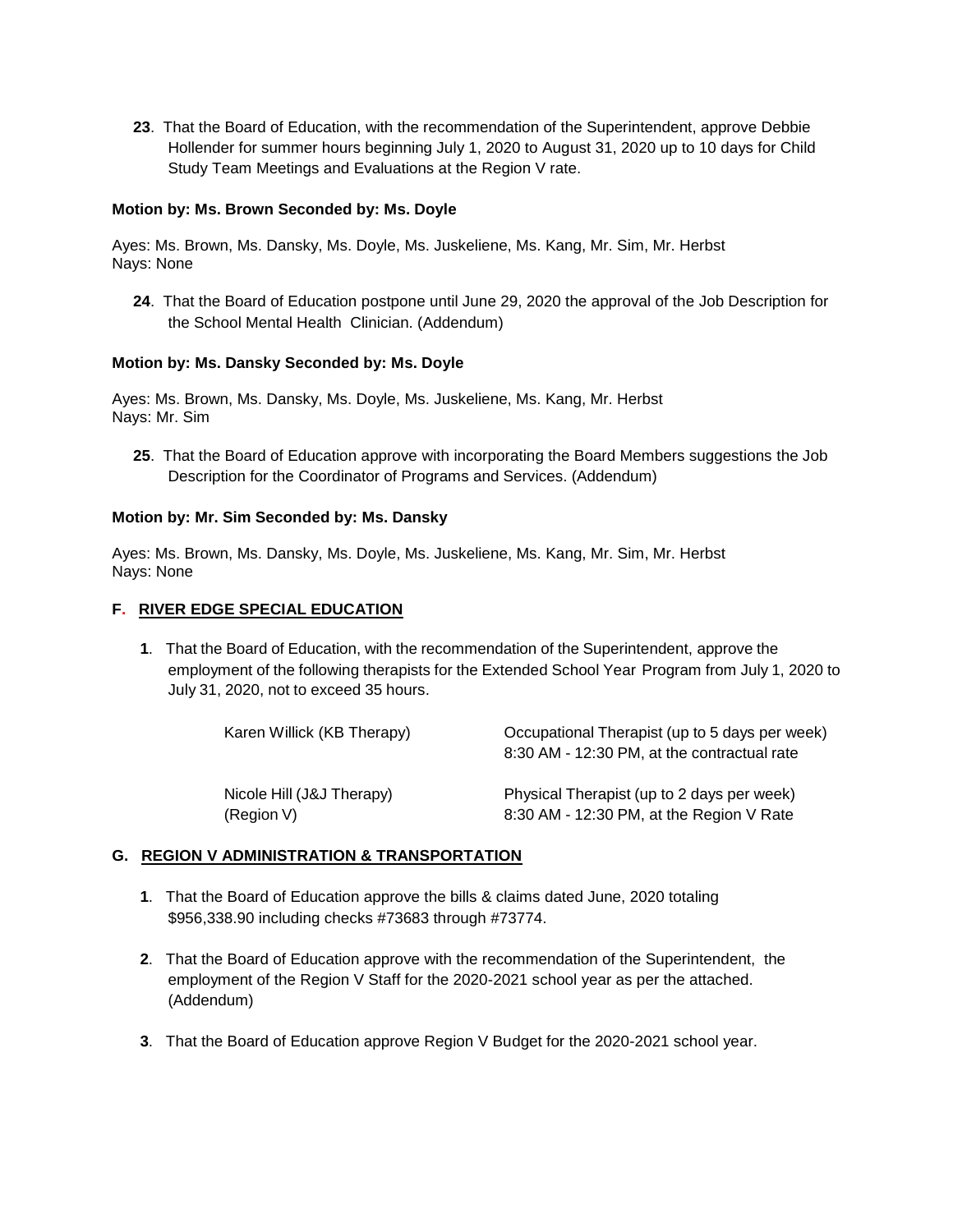**23**. That the Board of Education, with the recommendation of the Superintendent, approve Debbie Hollender for summer hours beginning July 1, 2020 to August 31, 2020 up to 10 days for Child Study Team Meetings and Evaluations at the Region V rate.

### **Motion by: Ms. Brown Seconded by: Ms. Doyle**

Ayes: Ms. Brown, Ms. Dansky, Ms. Doyle, Ms. Juskeliene, Ms. Kang, Mr. Sim, Mr. Herbst Nays: None

**24**. That the Board of Education postpone until June 29, 2020 the approval of the Job Description for the School Mental Health Clinician. (Addendum)

### **Motion by: Ms. Dansky Seconded by: Ms. Doyle**

Ayes: Ms. Brown, Ms. Dansky, Ms. Doyle, Ms. Juskeliene, Ms. Kang, Mr. Herbst Nays: Mr. Sim

**25**. That the Board of Education approve with incorporating the Board Members suggestions the Job Description for the Coordinator of Programs and Services. (Addendum)

### **Motion by: Mr. Sim Seconded by: Ms. Dansky**

Ayes: Ms. Brown, Ms. Dansky, Ms. Doyle, Ms. Juskeliene, Ms. Kang, Mr. Sim, Mr. Herbst Nays: None

### **F. RIVER EDGE SPECIAL EDUCATION**

**1**. That the Board of Education, with the recommendation of the Superintendent, approve the employment of the following therapists for the Extended School Year Program from July 1, 2020 to July 31, 2020, not to exceed 35 hours.

| Karen Willick (KB Therapy) | Occupational Therapist (up to 5 days per week) |
|----------------------------|------------------------------------------------|
|                            | 8:30 AM - 12:30 PM, at the contractual rate    |
| Nicole Hill (J&J Therapy)  | Physical Therapist (up to 2 days per week)     |
| (Region V)                 | 8:30 AM - 12:30 PM, at the Region V Rate       |

### **G. REGION V ADMINISTRATION & TRANSPORTATION**

- **1**. That the Board of Education approve the bills & claims dated June, 2020 totaling \$956,338.90 including checks #73683 through #73774.
- **2**. That the Board of Education approve with the recommendation of the Superintendent, the employment of the Region V Staff for the 2020-2021 school year as per the attached. (Addendum)
- **3**. That the Board of Education approve Region V Budget for the 2020-2021 school year.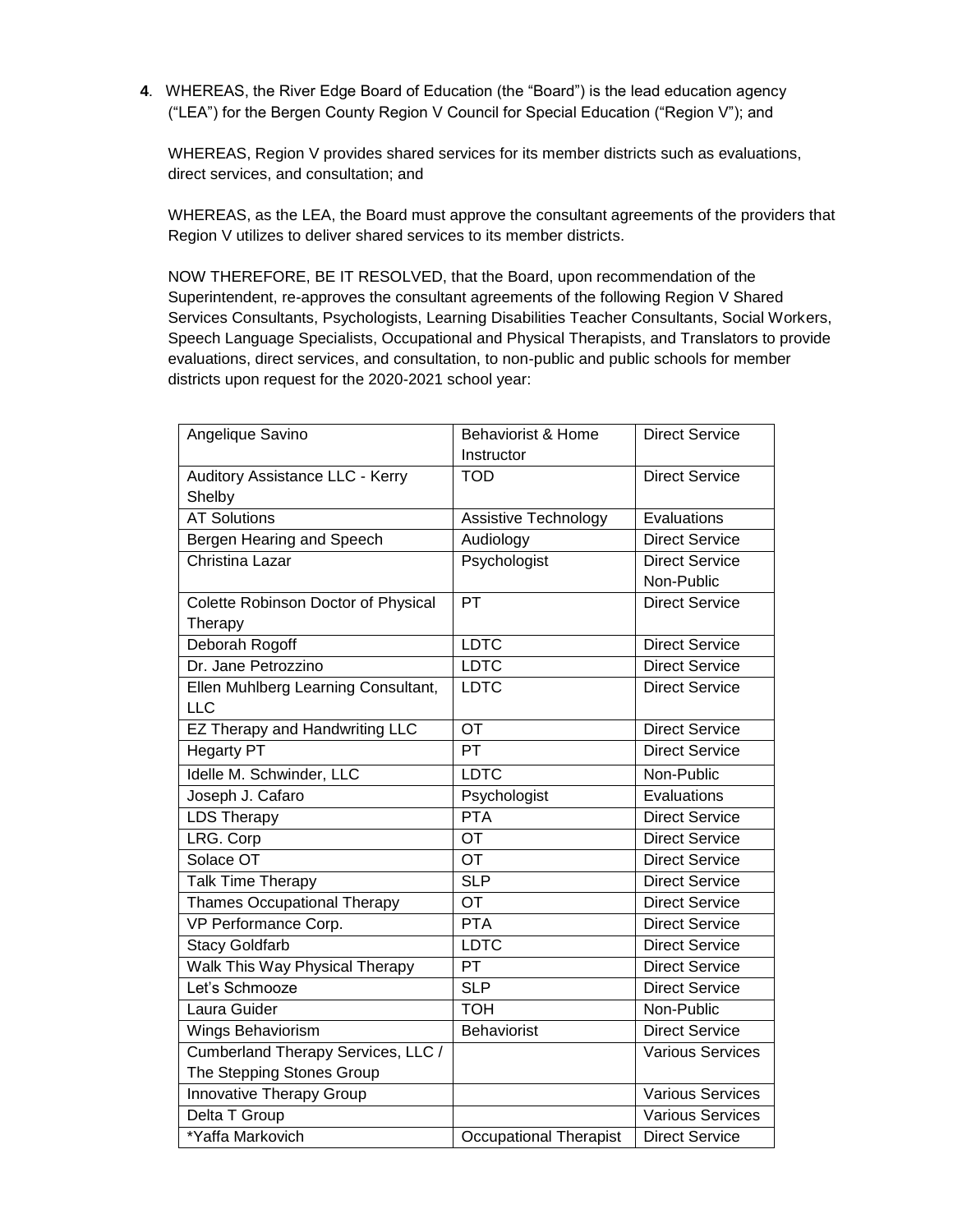**4**. WHEREAS, the River Edge Board of Education (the "Board") is the lead education agency ("LEA") for the Bergen County Region V Council for Special Education ("Region V"); and

WHEREAS, Region V provides shared services for its member districts such as evaluations, direct services, and consultation; and

WHEREAS, as the LEA, the Board must approve the consultant agreements of the providers that Region V utilizes to deliver shared services to its member districts.

NOW THEREFORE, BE IT RESOLVED, that the Board, upon recommendation of the Superintendent, re-approves the consultant agreements of the following Region V Shared Services Consultants, Psychologists, Learning Disabilities Teacher Consultants, Social Workers, Speech Language Specialists, Occupational and Physical Therapists, and Translators to provide evaluations, direct services, and consultation, to non-public and public schools for member districts upon request for the 2020-2021 school year:

| Angelique Savino                      | Behaviorist & Home            | <b>Direct Service</b>   |
|---------------------------------------|-------------------------------|-------------------------|
|                                       | Instructor                    |                         |
| Auditory Assistance LLC - Kerry       | <b>TOD</b>                    | <b>Direct Service</b>   |
| Shelby                                |                               |                         |
| <b>AT Solutions</b>                   | Assistive Technology          | Evaluations             |
| Bergen Hearing and Speech             | Audiology                     | <b>Direct Service</b>   |
| Christina Lazar                       | Psychologist                  | <b>Direct Service</b>   |
|                                       |                               | Non-Public              |
| Colette Robinson Doctor of Physical   | <b>PT</b>                     | <b>Direct Service</b>   |
| Therapy                               |                               |                         |
| Deborah Rogoff                        | <b>LDTC</b>                   | <b>Direct Service</b>   |
| Dr. Jane Petrozzino                   | <b>LDTC</b>                   | <b>Direct Service</b>   |
| Ellen Muhlberg Learning Consultant,   | <b>LDTC</b>                   | <b>Direct Service</b>   |
| <b>LLC</b>                            |                               |                         |
| <b>EZ Therapy and Handwriting LLC</b> | <b>OT</b>                     | <b>Direct Service</b>   |
| <b>Hegarty PT</b>                     | PT                            | <b>Direct Service</b>   |
| Idelle M. Schwinder, LLC              | <b>LDTC</b>                   | Non-Public              |
| Joseph J. Cafaro                      | Psychologist                  | Evaluations             |
| <b>LDS Therapy</b>                    | PTA                           | <b>Direct Service</b>   |
| LRG. Corp                             | $\overline{OT}$               | <b>Direct Service</b>   |
| Solace OT                             | $\overline{OT}$               | <b>Direct Service</b>   |
| Talk Time Therapy                     | <b>SLP</b>                    | <b>Direct Service</b>   |
| <b>Thames Occupational Therapy</b>    | $\overline{OT}$               | <b>Direct Service</b>   |
| VP Performance Corp.                  | <b>PTA</b>                    | <b>Direct Service</b>   |
| <b>Stacy Goldfarb</b>                 | <b>LDTC</b>                   | <b>Direct Service</b>   |
| Walk This Way Physical Therapy        | PT                            | <b>Direct Service</b>   |
| Let's Schmooze                        | <b>SLP</b>                    | <b>Direct Service</b>   |
| Laura Guider                          | <b>TOH</b>                    | Non-Public              |
| Wings Behaviorism                     | <b>Behaviorist</b>            | <b>Direct Service</b>   |
| Cumberland Therapy Services, LLC /    |                               | <b>Various Services</b> |
| The Stepping Stones Group             |                               |                         |
| <b>Innovative Therapy Group</b>       |                               | <b>Various Services</b> |
| Delta T Group                         |                               | Various Services        |
| *Yaffa Markovich                      | <b>Occupational Therapist</b> | <b>Direct Service</b>   |